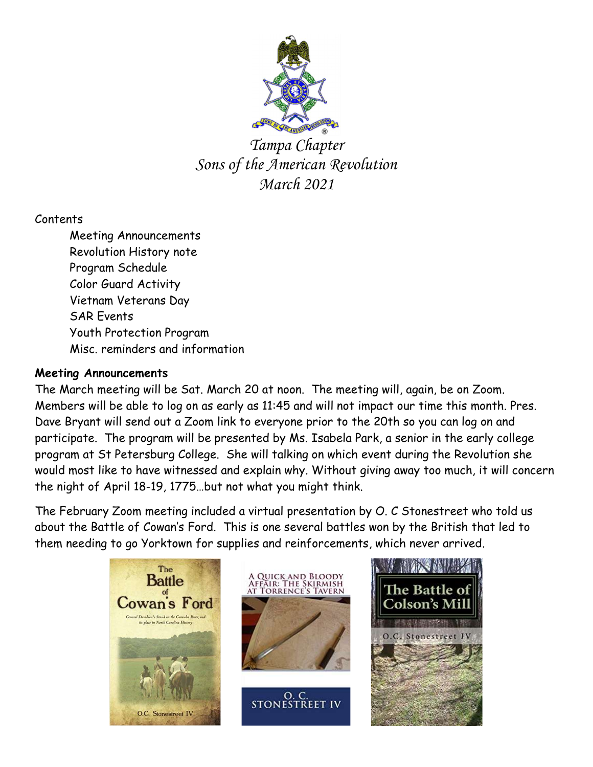

Tampa Chapter Sons of the American Revolution March 2021

# Contents

 Meeting Announcements Revolution History note Program Schedule Color Guard Activity Vietnam Veterans Day SAR Events Youth Protection Program Misc. reminders and information

### Meeting Announcements

The March meeting will be Sat. March 20 at noon. The meeting will, again, be on Zoom. Members will be able to log on as early as 11:45 and will not impact our time this month. Pres. Dave Bryant will send out a Zoom link to everyone prior to the 20th so you can log on and participate. The program will be presented by Ms. Isabela Park, a senior in the early college program at St Petersburg College. She will talking on which event during the Revolution she would most like to have witnessed and explain why. Without giving away too much, it will concern the night of April 18-19, 1775…but not what you might think.

The February Zoom meeting included a virtual presentation by O. C Stonestreet who told us about the Battle of Cowan's Ford. This is one several battles won by the British that led to them needing to go Yorktown for supplies and reinforcements, which never arrived.

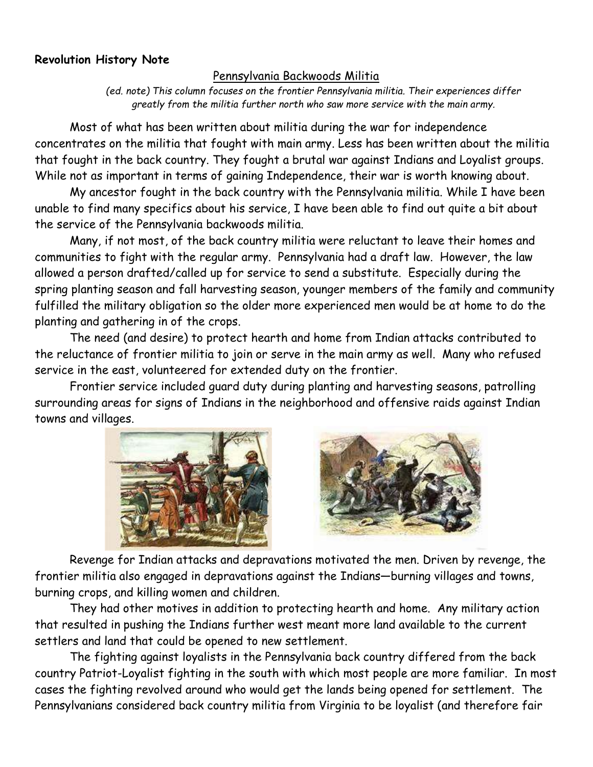### Revolution History Note

#### Pennsylvania Backwoods Militia

(ed. note) This column focuses on the frontier Pennsylvania militia. Their experiences differ greatly from the militia further north who saw more service with the main army.

Most of what has been written about militia during the war for independence concentrates on the militia that fought with main army. Less has been written about the militia that fought in the back country. They fought a brutal war against Indians and Loyalist groups. While not as important in terms of gaining Independence, their war is worth knowing about.

My ancestor fought in the back country with the Pennsylvania militia. While I have been unable to find many specifics about his service, I have been able to find out quite a bit about the service of the Pennsylvania backwoods militia.

Many, if not most, of the back country militia were reluctant to leave their homes and communities to fight with the regular army. Pennsylvania had a draft law. However, the law allowed a person drafted/called up for service to send a substitute. Especially during the spring planting season and fall harvesting season, younger members of the family and community fulfilled the military obligation so the older more experienced men would be at home to do the planting and gathering in of the crops.

The need (and desire) to protect hearth and home from Indian attacks contributed to the reluctance of frontier militia to join or serve in the main army as well. Many who refused service in the east, volunteered for extended duty on the frontier.

Frontier service included guard duty during planting and harvesting seasons, patrolling surrounding areas for signs of Indians in the neighborhood and offensive raids against Indian towns and villages.





Revenge for Indian attacks and depravations motivated the men. Driven by revenge, the frontier militia also engaged in depravations against the Indians—burning villages and towns, burning crops, and killing women and children.

They had other motives in addition to protecting hearth and home. Any military action that resulted in pushing the Indians further west meant more land available to the current settlers and land that could be opened to new settlement.

The fighting against loyalists in the Pennsylvania back country differed from the back country Patriot-Loyalist fighting in the south with which most people are more familiar. In most cases the fighting revolved around who would get the lands being opened for settlement. The Pennsylvanians considered back country militia from Virginia to be loyalist (and therefore fair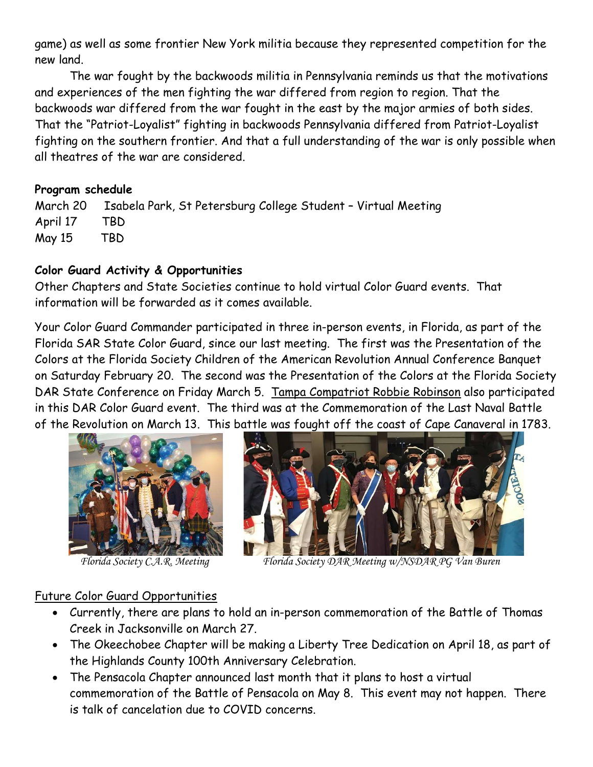game) as well as some frontier New York militia because they represented competition for the new land.

The war fought by the backwoods militia in Pennsylvania reminds us that the motivations and experiences of the men fighting the war differed from region to region. That the backwoods war differed from the war fought in the east by the major armies of both sides. That the "Patriot-Loyalist" fighting in backwoods Pennsylvania differed from Patriot-Loyalist fighting on the southern frontier. And that a full understanding of the war is only possible when all theatres of the war are considered.

### Program schedule

March 20 Isabela Park, St Petersburg College Student – Virtual Meeting April 17 TBD May 15 TBD

### Color Guard Activity & Opportunities

Other Chapters and State Societies continue to hold virtual Color Guard events. That information will be forwarded as it comes available.

Your Color Guard Commander participated in three in-person events, in Florida, as part of the Florida SAR State Color Guard, since our last meeting. The first was the Presentation of the Colors at the Florida Society Children of the American Revolution Annual Conference Banquet on Saturday February 20. The second was the Presentation of the Colors at the Florida Society DAR State Conference on Friday March 5. Tampa Compatriot Robbie Robinson also participated in this DAR Color Guard event. The third was at the Commemoration of the Last Naval Battle of the Revolution on March 13. This battle was fought off the coast of Cape Canaveral in 1783.





Florida Society C.A.R. Meeting Florida Society DAR Meeting w/NSDAR PG Van Buren

### Future Color Guard Opportunities

- Currently, there are plans to hold an in-person commemoration of the Battle of Thomas Creek in Jacksonville on March 27.
- The Okeechobee Chapter will be making a Liberty Tree Dedication on April 18, as part of the Highlands County 100th Anniversary Celebration.
- The Pensacola Chapter announced last month that it plans to host a virtual commemoration of the Battle of Pensacola on May 8. This event may not happen. There is talk of cancelation due to COVID concerns.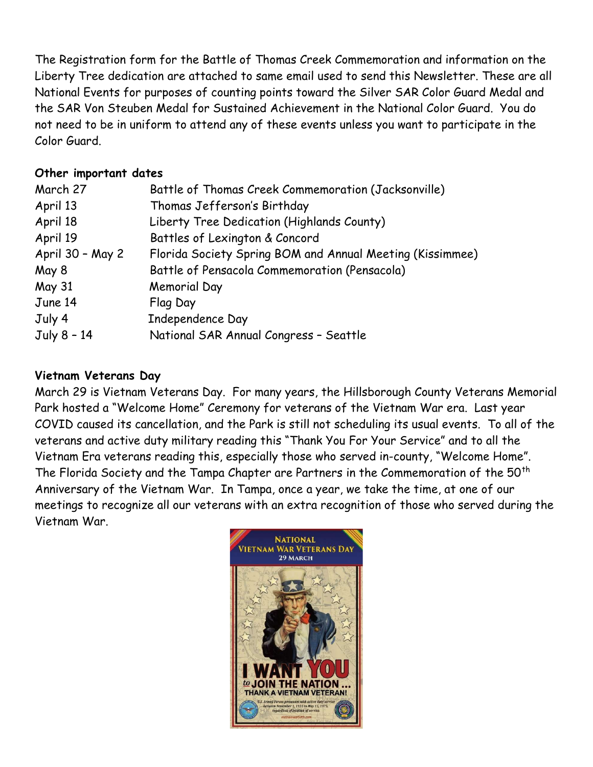The Registration form for the Battle of Thomas Creek Commemoration and information on the Liberty Tree dedication are attached to same email used to send this Newsletter. These are all National Events for purposes of counting points toward the Silver SAR Color Guard Medal and the SAR Von Steuben Medal for Sustained Achievement in the National Color Guard. You do not need to be in uniform to attend any of these events unless you want to participate in the Color Guard.

### Other important dates

| March 27         | Battle of Thomas Creek Commemoration (Jacksonville)       |
|------------------|-----------------------------------------------------------|
| April 13         | Thomas Jefferson's Birthday                               |
| April 18         | Liberty Tree Dedication (Highlands County)                |
| April 19         | Battles of Lexington & Concord                            |
| April 30 - May 2 | Florida Society Spring BOM and Annual Meeting (Kissimmee) |
| May 8            | Battle of Pensacola Commemoration (Pensacola)             |
| <b>May 31</b>    | <b>Memorial Day</b>                                       |
| June 14          | Flag Day                                                  |
| July 4           | Independence Day                                          |
| July 8 - 14      | National SAR Annual Congress - Seattle                    |

# Vietnam Veterans Day

March 29 is Vietnam Veterans Day. For many years, the Hillsborough County Veterans Memorial Park hosted a "Welcome Home" Ceremony for veterans of the Vietnam War era. Last year COVID caused its cancellation, and the Park is still not scheduling its usual events. To all of the veterans and active duty military reading this "Thank You For Your Service" and to all the Vietnam Era veterans reading this, especially those who served in-county, "Welcome Home". The Florida Society and the Tampa Chapter are Partners in the Commemoration of the 50<sup>th</sup> Anniversary of the Vietnam War. In Tampa, once a year, we take the time, at one of our meetings to recognize all our veterans with an extra recognition of those who served during the Vietnam War.